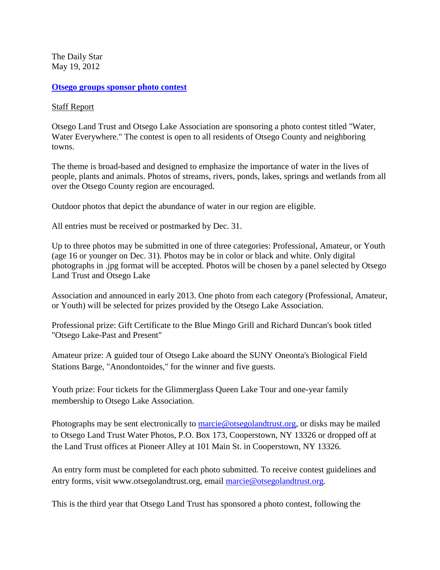The Daily Star May 19, 2012

## **[Otsego groups sponsor photo contest](http://www.thedailystar.com/localnews/x32750987/Otsego-groups-sponsor-photo-contest)**

## [Staff Report](http://www.thedailystar.com/)

Otsego Land Trust and Otsego Lake Association are sponsoring a photo contest titled "Water, Water Everywhere." The contest is open to all residents of Otsego County and neighboring towns.

The theme is broad-based and designed to emphasize the importance of water in the lives of people, plants and animals. Photos of streams, rivers, ponds, lakes, springs and wetlands from all over the Otsego County region are encouraged.

Outdoor photos that depict the abundance of water in our region are eligible.

All entries must be received or postmarked by Dec. 31.

Up to three photos may be submitted in one of three categories: Professional, Amateur, or Youth (age 16 or younger on Dec. 31). Photos may be in color or black and white. Only digital photographs in .jpg format will be accepted. Photos will be chosen by a panel selected by Otsego Land Trust and Otsego Lake

Association and announced in early 2013. One photo from each category (Professional, Amateur, or Youth) will be selected for prizes provided by the Otsego Lake Association.

Professional prize: Gift Certificate to the Blue Mingo Grill and Richard Duncan's book titled "Otsego Lake-Past and Present"

Amateur prize: A guided tour of Otsego Lake aboard the SUNY Oneonta's Biological Field Stations Barge, "Anondontoides," for the winner and five guests.

Youth prize: Four tickets for the Glimmerglass Queen Lake Tour and one-year family membership to Otsego Lake Association.

Photographs may be sent electronically to [marcie@otsegolandtrust.org,](mailto:marcie@otsegolandtrust.org) or disks may be mailed to Otsego Land Trust Water Photos, P.O. Box 173, Cooperstown, NY 13326 or dropped off at the Land Trust offices at Pioneer Alley at 101 Main St. in Cooperstown, NY 13326.

An entry form must be completed for each photo submitted. To receive contest guidelines and entry forms, visit www.otsegolandtrust.org, email [marcie@otsegolandtrust.org.](mailto:marcie@otsegolandtrust.org)

This is the third year that Otsego Land Trust has sponsored a photo contest, following the